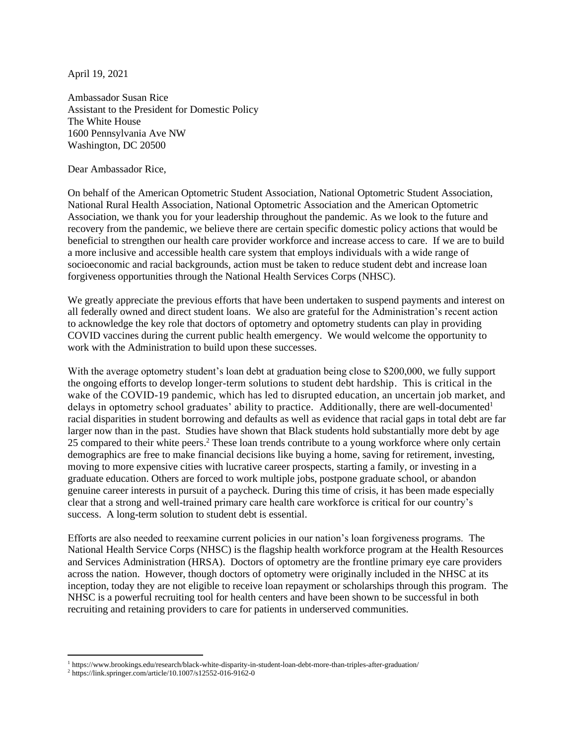April 19, 2021

Ambassador Susan Rice Assistant to the President for Domestic Policy The White House 1600 Pennsylvania Ave NW Washington, DC 20500

Dear Ambassador Rice,

On behalf of the American Optometric Student Association, National Optometric Student Association, National Rural Health Association, National Optometric Association and the American Optometric Association, we thank you for your leadership throughout the pandemic. As we look to the future and recovery from the pandemic, we believe there are certain specific domestic policy actions that would be beneficial to strengthen our health care provider workforce and increase access to care. If we are to build a more inclusive and accessible health care system that employs individuals with a wide range of socioeconomic and racial backgrounds, action must be taken to reduce student debt and increase loan forgiveness opportunities through the National Health Services Corps (NHSC).

We greatly appreciate the previous efforts that have been undertaken to suspend payments and interest on all federally owned and direct student loans. We also are grateful for the Administration's recent action to acknowledge the key role that doctors of optometry and optometry students can play in providing COVID vaccines during the current public health emergency. We would welcome the opportunity to work with the Administration to build upon these successes.

With the average optometry student's loan debt at graduation being close to \$200,000, we fully support the ongoing efforts to develop longer-term solutions to student debt hardship. This is critical in the wake of the COVID-19 pandemic, which has led to disrupted education, an uncertain job market, and delays in optometry school graduates' ability to practice. Additionally, there are well-documented<sup>1</sup> racial disparities in student borrowing and defaults as well as evidence that racial gaps in total debt are far larger now than in the past. Studies have shown that Black students hold substantially more debt by age 25 compared to their white peers.<sup>2</sup> These loan trends contribute to a young workforce where only certain demographics are free to make financial decisions like buying a home, saving for retirement, investing, moving to more expensive cities with lucrative career prospects, starting a family, or investing in a graduate education. Others are forced to work multiple jobs, postpone graduate school, or abandon genuine career interests in pursuit of a paycheck. During this time of crisis, it has been made especially clear that a strong and well-trained primary care health care workforce is critical for our country's success. A long-term solution to student debt is essential.

Efforts are also needed to reexamine current policies in our nation's loan forgiveness programs. The National Health Service Corps (NHSC) is the flagship health workforce program at the Health Resources and Services Administration (HRSA). Doctors of optometry are the frontline primary eye care providers across the nation. However, though doctors of optometry were originally included in the NHSC at its inception, today they are not eligible to receive loan repayment or scholarships through this program. The NHSC is a powerful recruiting tool for health centers and have been shown to be successful in both recruiting and retaining providers to care for patients in underserved communities.

<sup>1</sup> https://www.brookings.edu/research/black-white-disparity-in-student-loan-debt-more-than-triples-after-graduation/

<sup>2</sup> https://link.springer.com/article/10.1007/s12552-016-9162-0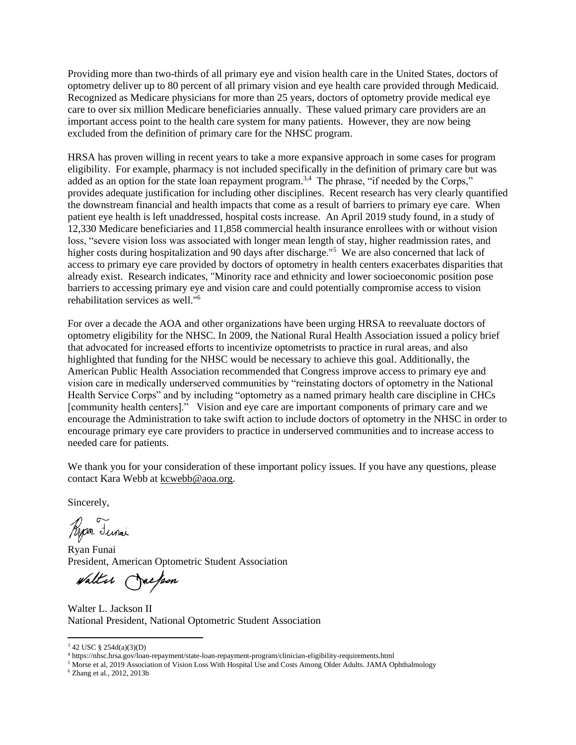Providing more than two-thirds of all primary eye and vision health care in the United States, doctors of optometry deliver up to 80 percent of all primary vision and eye health care provided through Medicaid. Recognized as Medicare physicians for more than 25 years, doctors of optometry provide medical eye care to over six million Medicare beneficiaries annually. These valued primary care providers are an important access point to the health care system for many patients. However, they are now being excluded from the definition of primary care for the NHSC program.

HRSA has proven willing in recent years to take a more expansive approach in some cases for program eligibility. For example, pharmacy is not included specifically in the definition of primary care but was added as an option for the state loan repayment program.<sup>3,4</sup> The phrase, "if needed by the Corps," provides adequate justification for including other disciplines. Recent research has very clearly quantified the downstream financial and health impacts that come as a result of barriers to primary eye care. When patient eye health is left unaddressed, hospital costs increase. An April 2019 study found, in a study of 12,330 Medicare beneficiaries and 11,858 commercial health insurance enrollees with or without vision loss, "severe vision loss was associated with longer mean length of stay, higher readmission rates, and higher costs during hospitalization and 90 days after discharge."<sup>5</sup> We are also concerned that lack of access to primary eye care provided by doctors of optometry in health centers exacerbates disparities that already exist. Research indicates, "Minority race and ethnicity and lower socioeconomic position pose barriers to accessing primary eye and vision care and could potentially compromise access to vision rehabilitation services as well."<sup>6</sup>

For over a decade the AOA and other organizations have been urging HRSA to reevaluate doctors of optometry eligibility for the NHSC. In 2009, the National Rural Health Association issued a policy brief that advocated for increased efforts to incentivize optometrists to practice in rural areas, and also highlighted that funding for the NHSC would be necessary to achieve this goal. Additionally, the American Public Health Association recommended that Congress improve access to primary eye and vision care in medically underserved communities by "reinstating doctors of optometry in the National Health Service Corps" and by including "optometry as a named primary health care discipline in CHCs [community health centers]." Vision and eye care are important components of primary care and we encourage the Administration to take swift action to include doctors of optometry in the NHSC in order to encourage primary eye care providers to practice in underserved communities and to increase access to needed care for patients.

We thank you for your consideration of these important policy issues. If you have any questions, please contact Kara Webb at [kcwebb@aoa.org.](mailto:kcwebb@aoa.org)

Sincerely,

Ryan Lunai

Ryan Funai President, American Optometric Student Association

Walter Jackson

Walter L. Jackson II National President, National Optometric Student Association

<sup>3</sup> 42 USC § 254d(a)(3)(D)

<sup>4</sup> https://nhsc.hrsa.gov/loan-repayment/state-loan-repayment-program/clinician-eligibility-requirements.html

<sup>&</sup>lt;sup>5</sup> Morse et al, 2019 Association of Vision Loss With Hospital Use and Costs Among Older Adults. JAMA Ophthalmology

<sup>6</sup> Zhang et al., 2012, 2013b